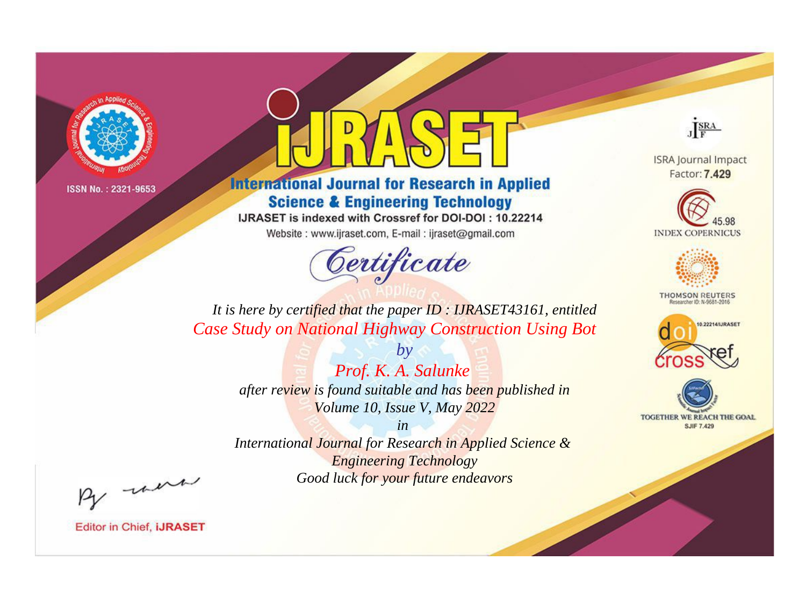

# **International Journal for Research in Applied Science & Engineering Technology**

IJRASET is indexed with Crossref for DOI-DOI: 10.22214

Website: www.ijraset.com, E-mail: ijraset@gmail.com



JERA

**ISRA Journal Impact** Factor: 7.429





**THOMSON REUTERS** 



TOGETHER WE REACH THE GOAL **SJIF 7.429** 

*It is here by certified that the paper ID : IJRASET43161, entitled Case Study on National Highway Construction Using Bot*

> *by Prof. K. A. Salunke after review is found suitable and has been published in Volume 10, Issue V, May 2022*

> > *in*

*International Journal for Research in Applied Science & Engineering Technology Good luck for your future endeavors*

By morn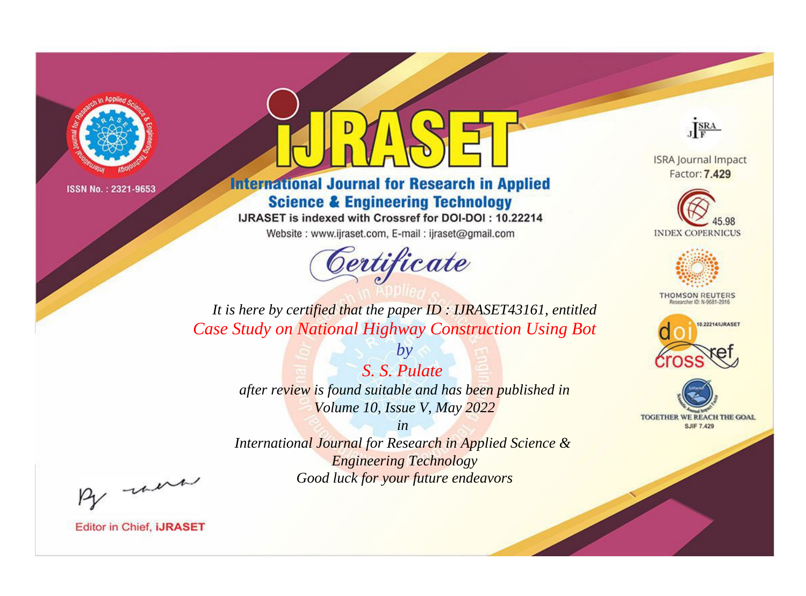

# **International Journal for Research in Applied Science & Engineering Technology**

IJRASET is indexed with Crossref for DOI-DOI: 10.22214

Website: www.ijraset.com, E-mail: ijraset@gmail.com



JERA

**ISRA Journal Impact** Factor: 7.429





**THOMSON REUTERS** 



TOGETHER WE REACH THE GOAL **SJIF 7.429** 

*It is here by certified that the paper ID : IJRASET43161, entitled Case Study on National Highway Construction Using Bot*

> *S. S. Pulate after review is found suitable and has been published in Volume 10, Issue V, May 2022*

*by*

*in* 

*International Journal for Research in Applied Science & Engineering Technology Good luck for your future endeavors*

By morn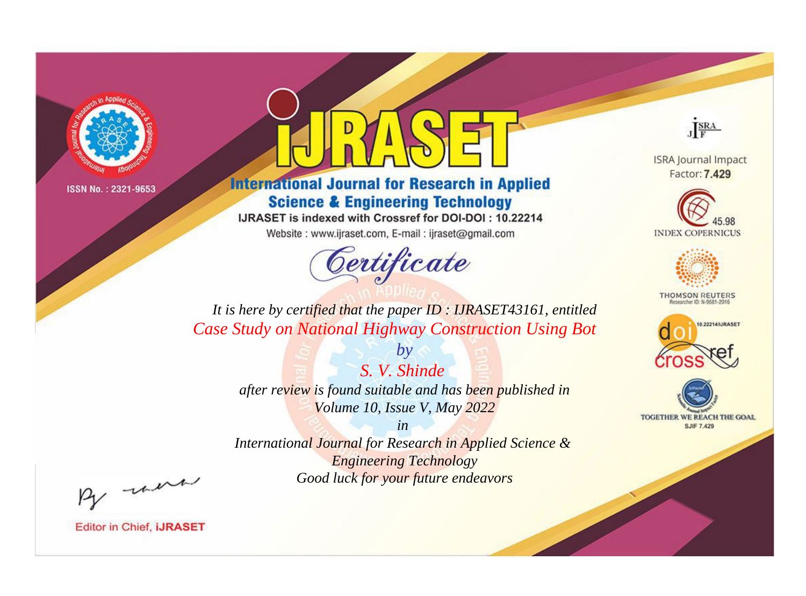

# **International Journal for Research in Applied Science & Engineering Technology**

IJRASET is indexed with Crossref for DOI-DOI: 10.22214

Website: www.ijraset.com, E-mail: ijraset@gmail.com



JERA

**ISRA Journal Impact** Factor: 7.429





**THOMSON REUTERS** 



TOGETHER WE REACH THE GOAL **SJIF 7.429** 

*It is here by certified that the paper ID : IJRASET43161, entitled Case Study on National Highway Construction Using Bot*

> *S. V. Shinde after review is found suitable and has been published in Volume 10, Issue V, May 2022*

*by*

*in* 

*International Journal for Research in Applied Science & Engineering Technology Good luck for your future endeavors*

By morn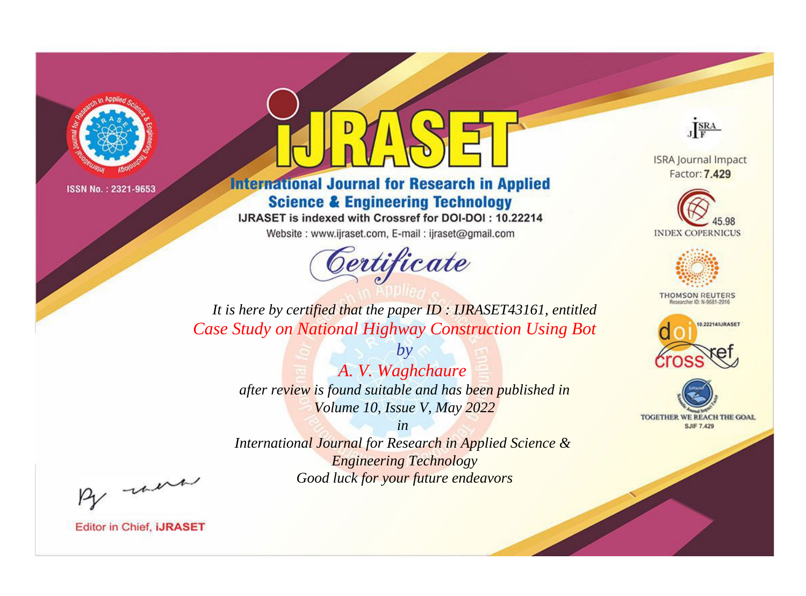

# **International Journal for Research in Applied Science & Engineering Technology**

IJRASET is indexed with Crossref for DOI-DOI: 10.22214

Website: www.ijraset.com, E-mail: ijraset@gmail.com



JERA

**ISRA Journal Impact** Factor: 7.429





**THOMSON REUTERS** 



TOGETHER WE REACH THE GOAL **SJIF 7.429** 

*It is here by certified that the paper ID : IJRASET43161, entitled Case Study on National Highway Construction Using Bot*

> *by A. V. Waghchaure after review is found suitable and has been published in Volume 10, Issue V, May 2022*

> > *in*

*International Journal for Research in Applied Science & Engineering Technology Good luck for your future endeavors*

By morn